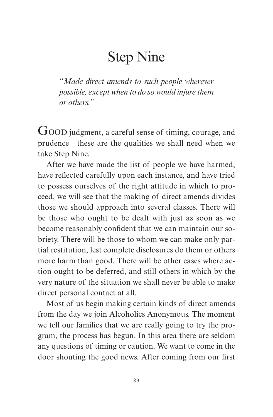## Step Nine

*"Made direct amends to such people wherever possible, except when to do so would injure them or others."*

GOOD judgment, a careful sense of timing, courage, and prudence—these are the qualities we shall need when we take Step Nine.

After we have made the list of people we have harmed, have reflected carefully upon each instance, and have tried to possess ourselves of the right attitude in which to proceed, we will see that the making of direct amends divides those we should approach into several classes. There will be those who ought to be dealt with just as soon as we become reasonably confident that we can maintain our sobriety. There will be those to whom we can make only partial restitution, lest complete disclosures do them or others more harm than good. There will be other cases where action ought to be deferred, and still others in which by the very nature of the situation we shall never be able to make direct personal contact at all.

Most of us begin making certain kinds of direct amends from the day we join Alcoholics Anonymous. The moment we tell our families that we are really going to try the program, the process has begun. In this area there are seldom any questions of timing or caution. We want to come in the door shouting the good news. After coming from our first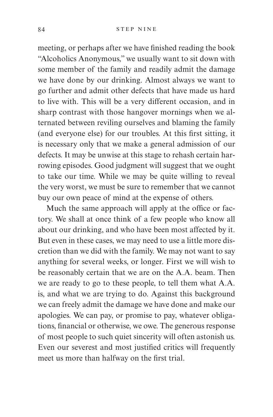meeting, or perhaps after we have finished reading the book "Alcoholics Anonymous," we usually want to sit down with some member of the family and readily admit the damage we have done by our drinking. Almost always we want to go further and admit other defects that have made us hard to live with. This will be a very different occasion, and in sharp contrast with those hangover mornings when we alternated between reviling ourselves and blaming the family (and everyone else) for our troubles. At this first sitting, it is necessary only that we make a general admission of our defects. It may be unwise at this stage to rehash certain harrowing episodes. Good judgment will suggest that we ought to take our time. While we may be quite willing to reveal the very worst, we must be sure to remember that we cannot buy our own peace of mind at the expense of others.

Much the same approach will apply at the office or factory. We shall at once think of a few people who know all about our drinking, and who have been most affected by it. But even in these cases, we may need to use a little more discretion than we did with the family. We may not want to say anything for several weeks, or longer. First we will wish to be reasonably certain that we are on the A.A. beam. Then we are ready to go to these people, to tell them what A.A. is, and what we are trying to do. Against this background we can freely admit the damage we have done and make our apologies. We can pay, or promise to pay, whatever obligations, financial or otherwise, we owe. The generous response of most people to such quiet sincerity will often astonish us. Even our severest and most justified critics will frequently meet us more than halfway on the first trial.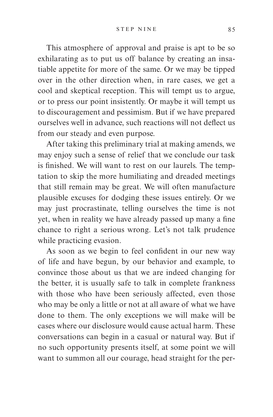This atmosphere of approval and praise is apt to be so exhilarating as to put us off balance by creating an insatiable appetite for more of the same. Or we may be tipped over in the other direction when, in rare cases, we get a cool and skeptical reception. This will tempt us to argue, or to press our point insistently. Or maybe it will tempt us to discouragement and pessimism. But if we have prepared ourselves well in advance, such reactions will not deflect us from our steady and even purpose.

After taking this preliminary trial at making amends, we may enjoy such a sense of relief that we conclude our task is finished. We will want to rest on our laurels. The temptation to skip the more humiliating and dreaded meetings that still remain may be great. We will often manufacture plausible excuses for dodging these issues entirely. Or we may just procrastinate, telling ourselves the time is not yet, when in reality we have already passed up many a fine chance to right a serious wrong. Let's not talk prudence while practicing evasion.

As soon as we begin to feel confident in our new way of life and have begun, by our behavior and example, to convince those about us that we are indeed changing for the better, it is usually safe to talk in complete frankness with those who have been seriously affected, even those who may be only a little or not at all aware of what we have done to them. The only exceptions we will make will be cases where our disclosure would cause actual harm. These conversations can begin in a casual or natural way. But if no such opportunity presents itself, at some point we will want to summon all our courage, head straight for the per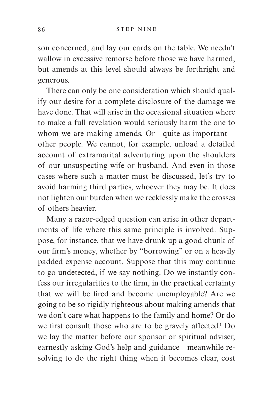son concerned, and lay our cards on the table. We needn't wallow in excessive remorse before those we have harmed, but amends at this level should always be forthright and generous.

There can only be one consideration which should qualify our desire for a complete disclosure of the damage we have done. That will arise in the occasional situation where to make a full revelation would seriously harm the one to whom we are making amends. Or—quite as important other people. We cannot, for example, unload a detailed account of extramarital adventuring upon the shoulders of our unsuspecting wife or husband. And even in those cases where such a matter must be discussed, let's try to avoid harming third parties, whoever they may be. It does not lighten our burden when we recklessly make the crosses of others heavier.

Many a razor-edged question can arise in other departments of life where this same principle is involved. Suppose, for instance, that we have drunk up a good chunk of our firm's money, whether by "borrowing" or on a heavily padded expense account. Suppose that this may continue to go undetected, if we say nothing. Do we instantly confess our irregularities to the firm, in the practical certainty that we will be fired and become unemployable? Are we going to be so rigidly righteous about making amends that we don't care what happens to the family and home? Or do we first consult those who are to be gravely affected? Do we lay the matter before our sponsor or spiritual adviser, earnestly asking God's help and guidance—meanwhile resolving to do the right thing when it becomes clear, cost